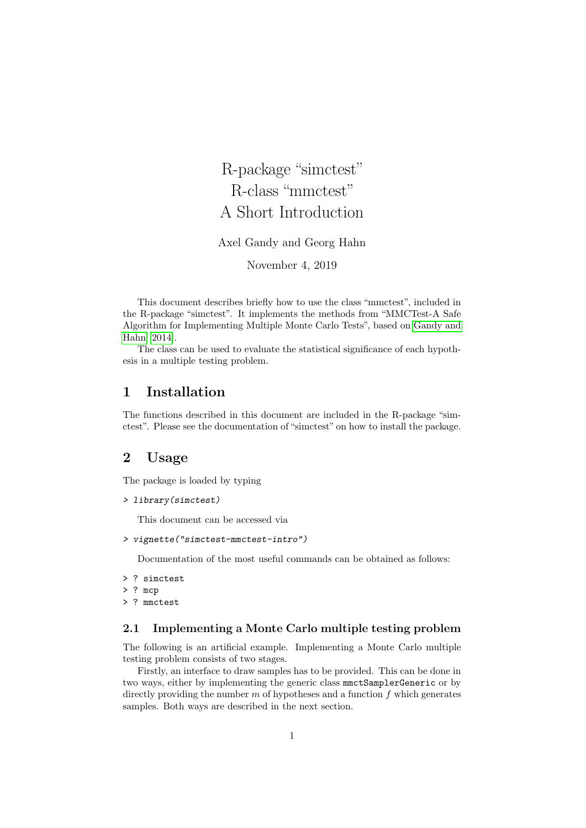R-package "simctest" R-class "mmctest" A Short Introduction Axel Gandy and Georg Hahn November 4, 2019

This document describes briefly how to use the class "mmctest", included in the R-package "simctest". It implements the methods from "MMCTest-A Safe Algorithm for Implementing Multiple Monte Carlo Tests", based on [Gandy and](#page-8-0) [Hahn](#page-8-0) [\[2014\]](#page-8-0).

The class can be used to evaluate the statistical significance of each hypothesis in a multiple testing problem.

## 1 Installation

The functions described in this document are included in the R-package "simctest". Please see the documentation of "simctest" on how to install the package.

## 2 Usage

The package is loaded by typing

```
> library(simctest)
```
This document can be accessed via

```
> vignette("simctest-mmctest-intro")
```
Documentation of the most useful commands can be obtained as follows:

- > ? simctest
- > ? mcp
- > ? mmctest

## 2.1 Implementing a Monte Carlo multiple testing problem

The following is an artificial example. Implementing a Monte Carlo multiple testing problem consists of two stages.

Firstly, an interface to draw samples has to be provided. This can be done in two ways, either by implementing the generic class mmctSamplerGeneric or by directly providing the number  $m$  of hypotheses and a function  $f$  which generates samples. Both ways are described in the next section.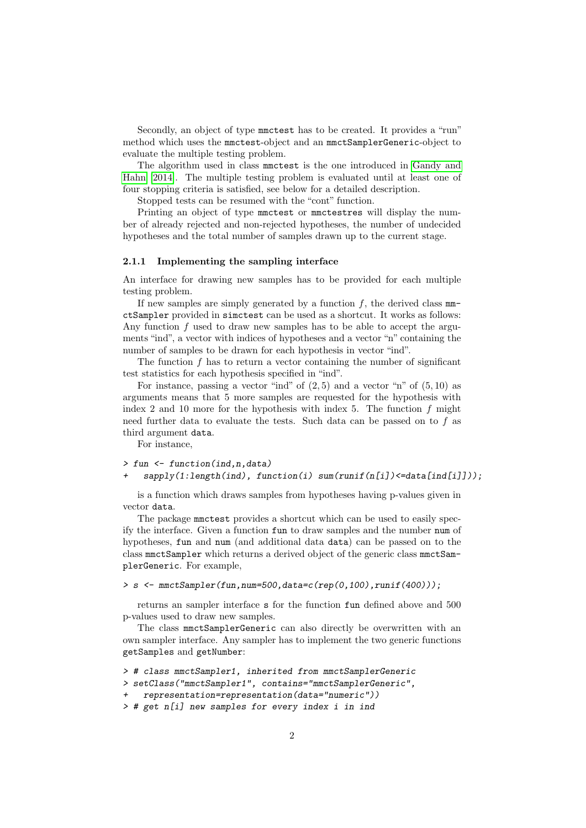Secondly, an object of type mmctest has to be created. It provides a "run" method which uses the mmctest-object and an mmctSamplerGeneric-object to evaluate the multiple testing problem.

The algorithm used in class mmctest is the one introduced in [Gandy and](#page-8-0) [Hahn](#page-8-0) [\[2014\]](#page-8-0). The multiple testing problem is evaluated until at least one of four stopping criteria is satisfied, see below for a detailed description.

Stopped tests can be resumed with the "cont" function.

Printing an object of type mmctest or mmctestres will display the number of already rejected and non-rejected hypotheses, the number of undecided hypotheses and the total number of samples drawn up to the current stage.

#### 2.1.1 Implementing the sampling interface

An interface for drawing new samples has to be provided for each multiple testing problem.

If new samples are simply generated by a function  $f$ , the derived class  $mm$ ctSampler provided in simctest can be used as a shortcut. It works as follows: Any function  $f$  used to draw new samples has to be able to accept the arguments "ind", a vector with indices of hypotheses and a vector "n" containing the number of samples to be drawn for each hypothesis in vector "ind".

The function  $f$  has to return a vector containing the number of significant test statistics for each hypothesis specified in "ind".

For instance, passing a vector "ind" of  $(2, 5)$  and a vector "n" of  $(5, 10)$  as arguments means that 5 more samples are requested for the hypothesis with index 2 and 10 more for the hypothesis with index 5. The function  $f$  might need further data to evaluate the tests. Such data can be passed on to  $f$  as third argument data.

For instance,

```
> fun <- function(ind,n,data)
```
 $=$  sapply(1:length(ind), function(i) sum(runif(n[i]) <= data[ind[i]]));

is a function which draws samples from hypotheses having p-values given in vector data.

The package mmctest provides a shortcut which can be used to easily specify the interface. Given a function fun to draw samples and the number num of hypotheses, fun and num (and additional data data) can be passed on to the class mmctSampler which returns a derived object of the generic class mmctSamplerGeneric. For example,

>  $s \leftarrow$  mmctSampler(fun, num=500, data=c(rep(0,100), runif(400)));

returns an sampler interface s for the function fun defined above and 500 p-values used to draw new samples.

The class mmctSamplerGeneric can also directly be overwritten with an own sampler interface. Any sampler has to implement the two generic functions getSamples and getNumber:

```
> # class mmctSampler1, inherited from mmctSamplerGeneric
```

```
> setClass("mmctSampler1", contains="mmctSamplerGeneric",
```

```
+ representation=representation(data="numeric"))
```

```
> # get n[i] new samples for every index i in ind
```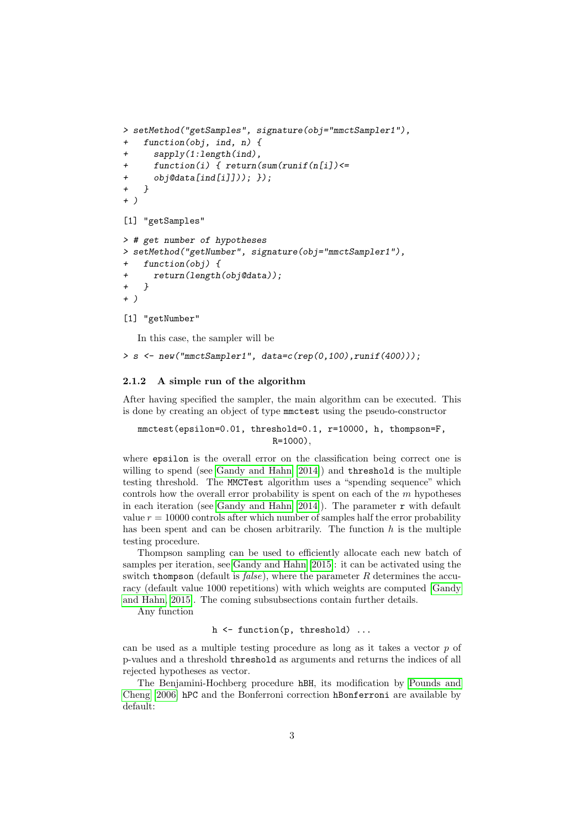```
> setMethod("getSamples", signature(obj="mmctSampler1"),
+ function(obj, ind, n) {
+ sapply(1:length(ind),
+ function(i) { return(sum(runif(n[i])<=
+ obj@data[ind[i]])); });
+ }
+ )
[1] "getSamples"
> # get number of hypotheses
> setMethod("getNumber", signature(obj="mmctSampler1"),
   function(obj) {
+ return(length(obj@data));
+ }
+ )
```

```
[1] "getNumber"
```
In this case, the sampler will be

```
> s \leq new("mmtSampler1", data=c(rep(0,100), runif(400)));
```
## 2.1.2 A simple run of the algorithm

After having specified the sampler, the main algorithm can be executed. This is done by creating an object of type mmctest using the pseudo-constructor

```
mmctest(epsilon=0.01, threshold=0.1, r=10000, h, thompson=F,
                          R=1000),
```
where epsilon is the overall error on the classification being correct one is willing to spend (see [Gandy and Hahn](#page-8-0) [\[2014\]](#page-8-0)) and threshold is the multiple testing threshold. The MMCTest algorithm uses a "spending sequence" which controls how the overall error probability is spent on each of the  $m$  hypotheses in each iteration (see [Gandy and Hahn](#page-8-0)  $[2014]$ ). The parameter  $\mathbf r$  with default value  $r = 10000$  controls after which number of samples half the error probability has been spent and can be chosen arbitrarily. The function  $h$  is the multiple testing procedure.

Thompson sampling can be used to efficiently allocate each new batch of samples per iteration, see [Gandy and Hahn](#page-8-1) [\[2015\]](#page-8-1): it can be activated using the switch thompson (default is  $false$ ), where the parameter R determines the accuracy (default value 1000 repetitions) with which weights are computed [\[Gandy](#page-8-1) [and Hahn, 2015\]](#page-8-1). The coming subsubsections contain further details.

Any function

h  $\leq$  function(p, threshold) ...

can be used as a multiple testing procedure as long as it takes a vector  $p$  of p-values and a threshold threshold as arguments and returns the indices of all rejected hypotheses as vector.

The Benjamini-Hochberg procedure hBH, its modification by [Pounds and](#page-8-2) [Cheng](#page-8-2) [\[2006\]](#page-8-2) hPC and the Bonferroni correction hBonferroni are available by default: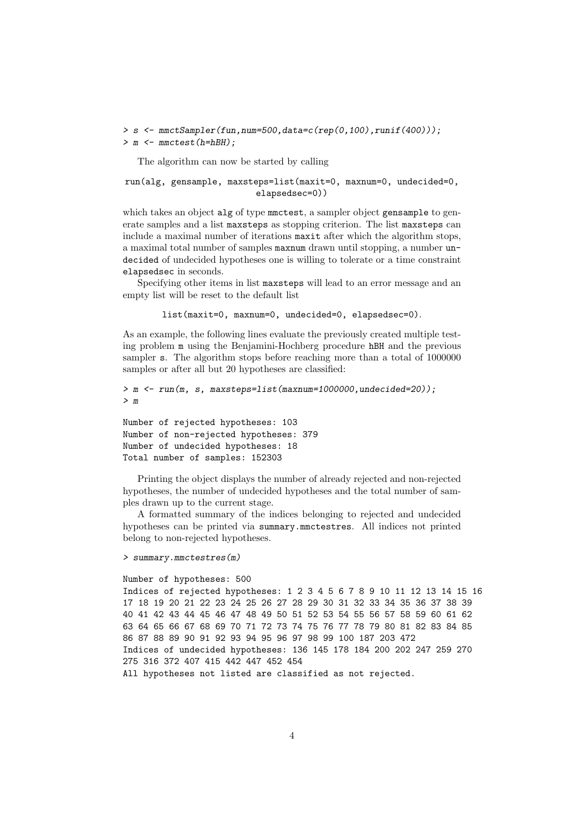> s <- mmctSampler(fun,num=500,data=c(rep(0,100),runif(400))); > m <- mmctest(h=hBH);

The algorithm can now be started by calling

run(alg, gensample, maxsteps=list(maxit=0, maxnum=0, undecided=0, elapsedsec=0))

which takes an object alg of type mmctest, a sampler object gensample to generate samples and a list maxsteps as stopping criterion. The list maxsteps can include a maximal number of iterations maxit after which the algorithm stops, a maximal total number of samples maxnum drawn until stopping, a number undecided of undecided hypotheses one is willing to tolerate or a time constraint elapsedsec in seconds.

Specifying other items in list maxsteps will lead to an error message and an empty list will be reset to the default list

list(maxit=0, maxnum=0, undecided=0, elapsedsec=0).

As an example, the following lines evaluate the previously created multiple testing problem m using the Benjamini-Hochberg procedure hBH and the previous sampler s. The algorithm stops before reaching more than a total of 1000000 samples or after all but 20 hypotheses are classified:

```
> m <- run(m, s, maxsteps=list(maxnum=1000000,undecided=20));
> m
```

```
Number of rejected hypotheses: 103
Number of non-rejected hypotheses: 379
Number of undecided hypotheses: 18
Total number of samples: 152303
```
Printing the object displays the number of already rejected and non-rejected hypotheses, the number of undecided hypotheses and the total number of samples drawn up to the current stage.

A formatted summary of the indices belonging to rejected and undecided hypotheses can be printed via summary.mmctestres. All indices not printed belong to non-rejected hypotheses.

> summary.mmctestres(m)

Number of hypotheses: 500 Indices of rejected hypotheses: 1 2 3 4 5 6 7 8 9 10 11 12 13 14 15 16 17 18 19 20 21 22 23 24 25 26 27 28 29 30 31 32 33 34 35 36 37 38 39 40 41 42 43 44 45 46 47 48 49 50 51 52 53 54 55 56 57 58 59 60 61 62 63 64 65 66 67 68 69 70 71 72 73 74 75 76 77 78 79 80 81 82 83 84 85 86 87 88 89 90 91 92 93 94 95 96 97 98 99 100 187 203 472 Indices of undecided hypotheses: 136 145 178 184 200 202 247 259 270 275 316 372 407 415 442 447 452 454 All hypotheses not listed are classified as not rejected.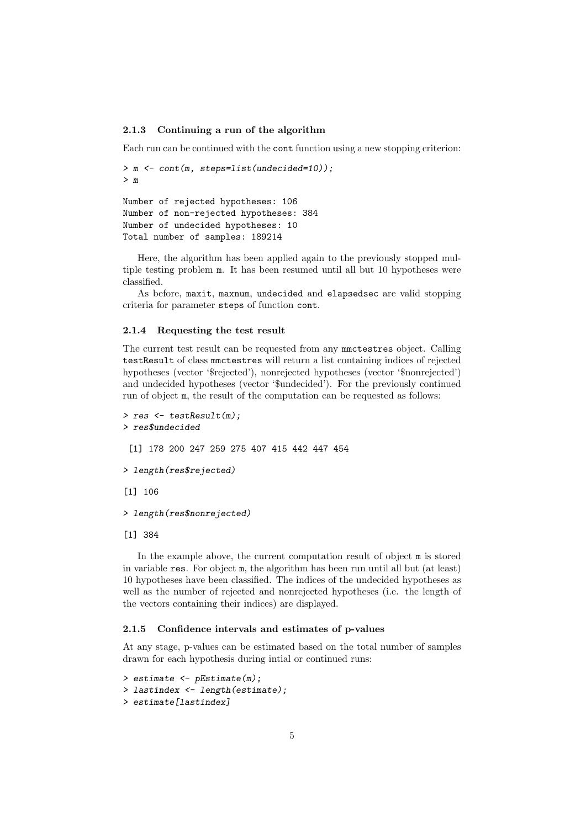#### 2.1.3 Continuing a run of the algorithm

Each run can be continued with the cont function using a new stopping criterion:

```
> m <- cont(m, steps=list(undecided=10));
> m
```
Number of rejected hypotheses: 106 Number of non-rejected hypotheses: 384 Number of undecided hypotheses: 10 Total number of samples: 189214

Here, the algorithm has been applied again to the previously stopped multiple testing problem m. It has been resumed until all but 10 hypotheses were classified.

As before, maxit, maxnum, undecided and elapsedsec are valid stopping criteria for parameter steps of function cont.

## 2.1.4 Requesting the test result

The current test result can be requested from any mmctestres object. Calling testResult of class mmctestres will return a list containing indices of rejected hypotheses (vector '\$rejected'), nonrejected hypotheses (vector '\$nonrejected') and undecided hypotheses (vector '\$undecided'). For the previously continued run of object m, the result of the computation can be requested as follows:

```
> res <- testResult(m);
> res$undecided
 [1] 178 200 247 259 275 407 415 442 447 454
> length(res$rejected)
[1] 106
> length(res$nonrejected)
[1] 384
```
In the example above, the current computation result of object m is stored in variable res. For object m, the algorithm has been run until all but (at least) 10 hypotheses have been classified. The indices of the undecided hypotheses as well as the number of rejected and nonrejected hypotheses (i.e. the length of the vectors containing their indices) are displayed.

#### 2.1.5 Confidence intervals and estimates of p-values

At any stage, p-values can be estimated based on the total number of samples drawn for each hypothesis during intial or continued runs:

```
> estimate <- pEstimate(m);
> lastindex <- length(estimate);
> estimate [lastindex]
```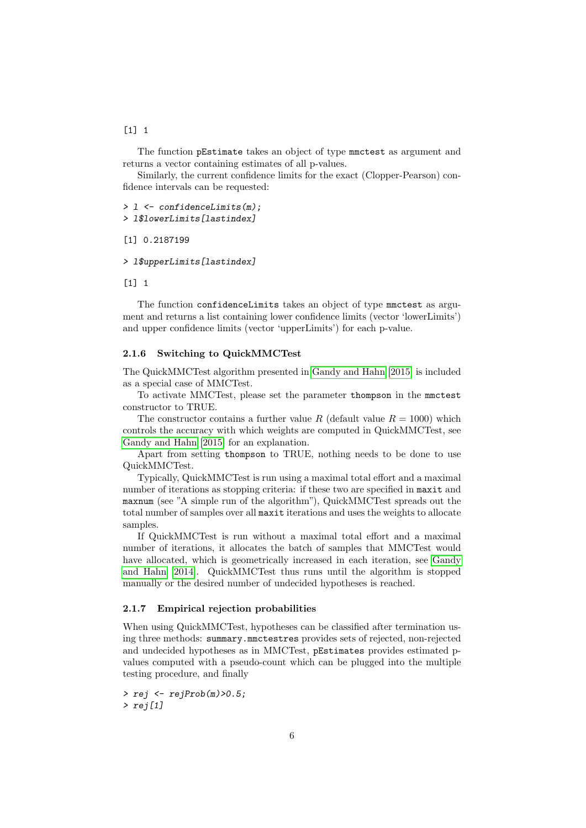## $[1]$  1

The function pEstimate takes an object of type mmctest as argument and returns a vector containing estimates of all p-values.

Similarly, the current confidence limits for the exact (Clopper-Pearson) confidence intervals can be requested:

```
> l <- confidenceLimits(m);
```

```
> l$lowerLimits[lastindex]
```

```
[1] 0.2187199
```
> l\$upperLimits[lastindex]

 $\lceil 1 \rceil$  1

The function confidenceLimits takes an object of type mmctest as argument and returns a list containing lower confidence limits (vector 'lowerLimits') and upper confidence limits (vector 'upperLimits') for each p-value.

## 2.1.6 Switching to QuickMMCTest

The QuickMMCTest algorithm presented in [Gandy and Hahn](#page-8-1) [\[2015\]](#page-8-1) is included as a special case of MMCTest.

To activate MMCTest, please set the parameter thompson in the mmctest constructor to TRUE.

The constructor contains a further value R (default value  $R = 1000$ ) which controls the accuracy with which weights are computed in QuickMMCTest, see [Gandy and Hahn](#page-8-1) [\[2015\]](#page-8-1) for an explanation.

Apart from setting thompson to TRUE, nothing needs to be done to use QuickMMCTest.

Typically, QuickMMCTest is run using a maximal total effort and a maximal number of iterations as stopping criteria: if these two are specified in maxit and maxnum (see "A simple run of the algorithm"), QuickMMCTest spreads out the total number of samples over all maxit iterations and uses the weights to allocate samples.

If QuickMMCTest is run without a maximal total effort and a maximal number of iterations, it allocates the batch of samples that MMCTest would have allocated, which is geometrically increased in each iteration, see [Gandy](#page-8-0) [and Hahn](#page-8-0) [\[2014\]](#page-8-0). QuickMMCTest thus runs until the algorithm is stopped manually or the desired number of undecided hypotheses is reached.

## 2.1.7 Empirical rejection probabilities

When using QuickMMCTest, hypotheses can be classified after termination using three methods: summary.mmctestres provides sets of rejected, non-rejected and undecided hypotheses as in MMCTest, pEstimates provides estimated pvalues computed with a pseudo-count which can be plugged into the multiple testing procedure, and finally

 $>$  rej  $\leftarrow$  rej $Prob(m)$ >0.5;  $>$  rej[1]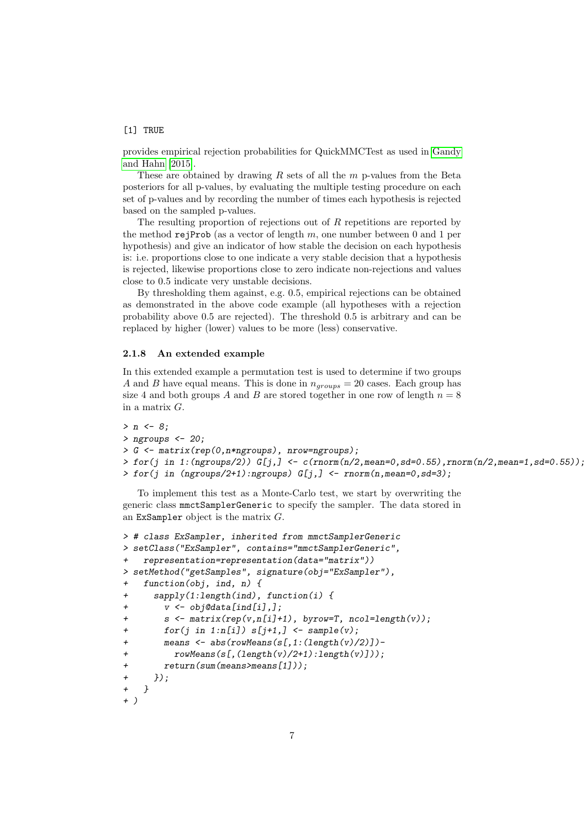## [1] TRUE

provides empirical rejection probabilities for QuickMMCTest as used in [Gandy](#page-8-1) [and Hahn](#page-8-1) [\[2015\]](#page-8-1).

These are obtained by drawing  $R$  sets of all the  $m$  p-values from the Beta posteriors for all p-values, by evaluating the multiple testing procedure on each set of p-values and by recording the number of times each hypothesis is rejected based on the sampled p-values.

The resulting proportion of rejections out of R repetitions are reported by the method rejProb (as a vector of length m, one number between 0 and 1 per hypothesis) and give an indicator of how stable the decision on each hypothesis is: i.e. proportions close to one indicate a very stable decision that a hypothesis is rejected, likewise proportions close to zero indicate non-rejections and values close to 0.5 indicate very unstable decisions.

By thresholding them against, e.g. 0.5, empirical rejections can be obtained as demonstrated in the above code example (all hypotheses with a rejection probability above 0.5 are rejected). The threshold 0.5 is arbitrary and can be replaced by higher (lower) values to be more (less) conservative.

## 2.1.8 An extended example

In this extended example a permutation test is used to determine if two groups A and B have equal means. This is done in  $n_{groups} = 20$  cases. Each group has size 4 and both groups A and B are stored together in one row of length  $n = 8$ in a matrix G.

```
> n \le -8;
> ngroups <-20;
> G <- matrix(rep(0,n*ngroups), nrow=ngroups);
> for(j in 1:(ngroups/2)) G[j,] \leftarrow c(rnorm(n/2,mean=0,sd=0.55),rnorm(n/2,mean=1,sd=0.55));
> for(j in (ngroups/2+1):ngroups) G[j,] <- rnorm(n,mean=0, sd=3);
```
To implement this test as a Monte-Carlo test, we start by overwriting the generic class mmctSamplerGeneric to specify the sampler. The data stored in an ExSampler object is the matrix G.

```
> # class ExSampler, inherited from mmctSamplerGeneric
> setClass("ExSampler", contains="mmctSamplerGeneric",
   + representation=representation(data="matrix"))
> setMethod("getSamples", signature(obj="ExSampler"),
+ function(obj, ind, n) {
+ sapply(1:length(ind), function(i) {
+ v <- obj@data[ind[i],];
+ s <- matrix(rep(v,n[i]+1), byrow=T, ncol=length(v));
+ for(j in 1:n[i]) s[i+1,] <- sample(v);
+ means <- abs(rowMeans(s[,1:(length(v)/2)])-
+ rowMeans(s[,(length(v)/2+1):length(v)]));
       return(sum(means>means[1]));
+ });
+ }
+ )
```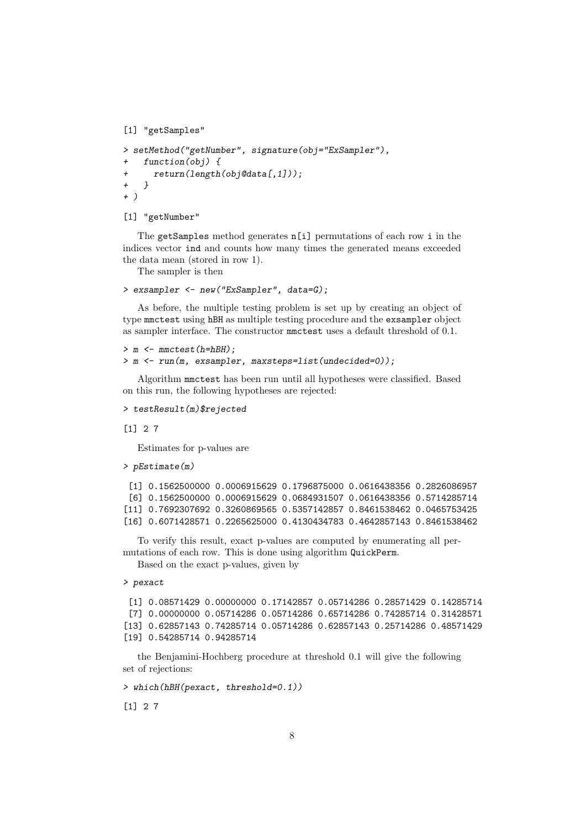[1] "getSamples"

```
> setMethod("getNumber", signature(obj="ExSampler"),
+ function(obj) {
+ return(length(obj@data[,1]));
+ }
+ )
```
#### [1] "getNumber"

The getSamples method generates n[i] permutations of each row i in the indices vector ind and counts how many times the generated means exceeded the data mean (stored in row 1).

The sampler is then

```
> exsampler <- new("ExSampler", data=G);
```
As before, the multiple testing problem is set up by creating an object of type mmctest using hBH as multiple testing procedure and the exsampler object as sampler interface. The constructor mmctest uses a default threshold of 0.1.

```
> m <- mmctest(h=hBH);
> m <- run(m, exsampler, maxsteps=list(undecided=0));
```
Algorithm mmctest has been run until all hypotheses were classified. Based on this run, the following hypotheses are rejected:

```
> testResult(m)$rejected
```
[1] 2 7

Estimates for p-values are

```
> pEstimate(m)
```

```
[1] 0.1562500000 0.0006915629 0.1796875000 0.0616438356 0.2826086957
[6] 0.1562500000 0.0006915629 0.0684931507 0.0616438356 0.5714285714
[11] 0.7692307692 0.3260869565 0.5357142857 0.8461538462 0.0465753425
[16] 0.6071428571 0.2265625000 0.4130434783 0.4642857143 0.8461538462
```
To verify this result, exact p-values are computed by enumerating all permutations of each row. This is done using algorithm QuickPerm.

Based on the exact p-values, given by

> pexact

```
[1] 0.08571429 0.00000000 0.17142857 0.05714286 0.28571429 0.14285714
[7] 0.00000000 0.05714286 0.05714286 0.65714286 0.74285714 0.31428571
[13] 0.62857143 0.74285714 0.05714286 0.62857143 0.25714286 0.48571429
[19] 0.54285714 0.94285714
```
the Benjamini-Hochberg procedure at threshold 0.1 will give the following set of rejections:

> which(hBH(pexact, threshold=0.1))

[1] 2 7